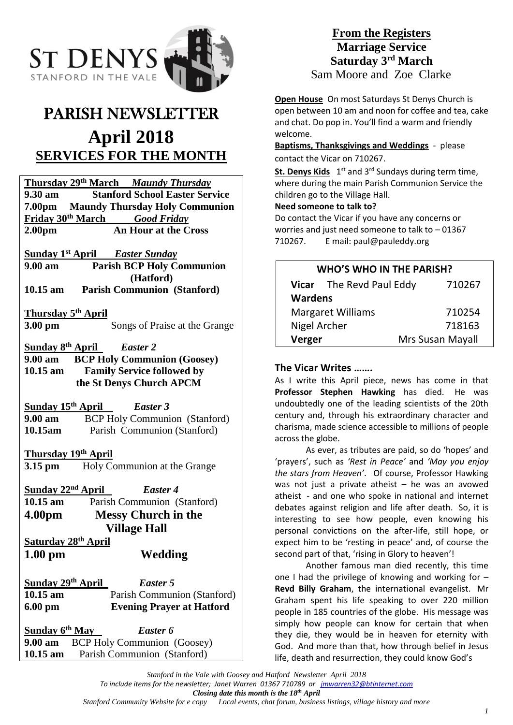

# PARISH NEWSLETTER **April 2018 SERVICES FOR THE MONTH**

**Thursday 29th March** *Maundy Thursday* **9.30 am Stanford School Easter Service 7.00pm Maundy Thursday Holy Communion Friday 30th March** *Good Friday* **2.00pm An Hour at the Cross**

**Sunday 1st April** *Easter Sunday*

**9.00 am Parish BCP Holy Communion (Hatford) 10.15 am Parish Communion (Stanford)**

**Thursday 5 th April**

**3.00 pm** Songs of Praise at the Grange

**Sunday 8 th April** *Easter 2* **9.00 am BCP Holy Communion (Goosey) 10.15 am Family Service followed by the St Denys Church APCM**

**Sunday 15 th April** *Easter 3* **9.00 am** BCP Holy Communion (Stanford) **10.15am** Parish Communion (Stanford)

# **Thursday 19th April**

**3.15 pm** Holy Communion at the Grange

**Sunday 22 nd April** *Easter 4* **10.15 am** Parish Communion (Stanford) **4.00pm Messy Church in the Village Hall**

**Saturday 28th April** 

**1.00 pm Wedding**

**Sunday 29th April** *Easter 5* **10.15 am** Parish Communion (Stanford) **6.00 pm Evening Prayer at Hatford**

**Sunday 6** *Easter 6* **9.00 am** BCP Holy Communion (Goosey) **10.15 am** Parish Communion (Stanford)

# **From the Registers Marriage Service Saturday 3rd March** Sam Moore and Zoe Clarke

**Open House** On most Saturdays St Denys Church is open between 10 am and noon for coffee and tea, cake and chat. Do pop in. You'll find a warm and friendly welcome.

**Baptisms, Thanksgivings and Weddings** - please contact the Vicar on 710267.

St. Denys Kids 1<sup>st</sup> and 3<sup>rd</sup> Sundays during term time, where during the main Parish Communion Service the children go to the Village Hall.

#### **Need someone to talk to?**

Do contact the Vicar if you have any concerns or worries and just need someone to talk to – 01367 710267. E mail: paul@pauleddy.org

# **WHO'S WHO IN THE PARISH?**

|                          | Vicar The Revd Paul Eddy | 710267           |
|--------------------------|--------------------------|------------------|
| <b>Wardens</b>           |                          |                  |
| <b>Margaret Williams</b> |                          | 710254           |
| Nigel Archer             |                          | 718163           |
| Verger                   |                          | Mrs Susan Mayall |

# **The Vicar Writes …….**

As I write this April piece, news has come in that **Professor Stephen Hawking** has died. He was undoubtedly one of the leading scientists of the 20th century and, through his extraordinary character and charisma, made science accessible to millions of people across the globe.

As ever, as tributes are paid, so do 'hopes' and 'prayers', such as *'Rest in Peace'* and *'May you enjoy the stars from Heaven'*. Of course, Professor Hawking was not just a private atheist – he was an avowed atheist - and one who spoke in national and internet debates against religion and life after death. So, it is interesting to see how people, even knowing his personal convictions on the after-life, still hope, or expect him to be 'resting in peace' and, of course the second part of that, 'rising in Glory to heaven'!

Another famous man died recently, this time one I had the privilege of knowing and working for – **Revd Billy Graham**, the international evangelist. Mr Graham spent his life speaking to over 220 million people in 185 countries of the globe. His message was simply how people can know for certain that when they die, they would be in heaven for eternity with God. And more than that, how through belief in Jesus life, death and resurrection, they could know God's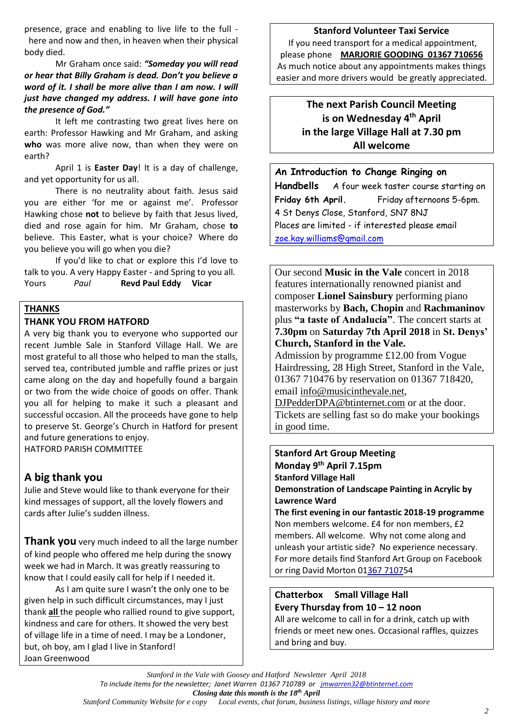presence, grace and enabling to live life to the full here and now and then, in heaven when their physical body died.

Mr Graham once said: *"Someday you will read or hear that Billy Graham is dead. Don't you believe a word of it. I shall be more alive than I am now. I will just have changed my address. I will have gone into the presence of God."*

It left me contrasting two great lives here on earth: Professor Hawking and Mr Graham, and asking **who** was more alive now, than when they were on earth?

April 1 is **Easter Day**! It is a day of challenge, and yet opportunity for us all.

There is no neutrality about faith. Jesus said you are either 'for me or against me'. Professor Hawking chose **not** to believe by faith that Jesus lived, died and rose again for him. Mr Graham, chose **to** believe. This Easter, what is your choice? Where do you believe you will go when you die?

If you'd like to chat or explore this I'd love to talk to you. A very Happy Easter - and Spring to you all. Yours *Paul* **Revd Paul Eddy Vicar**

#### **THANKS**

#### **THANK YOU FROM HATFORD**

A very big thank you to everyone who supported our recent Jumble Sale in Stanford Village Hall. We are most grateful to all those who helped to man the stalls, served tea, contributed jumble and raffle prizes or just came along on the day and hopefully found a bargain or two from the wide choice of goods on offer. Thank you all for helping to make it such a pleasant and successful occasion. All the proceeds have gone to help to preserve St. George's Church in Hatford for present and future generations to enjoy. HATFORD PARISH COMMITTEE

# **A big thank you**

Julie and Steve would like to thank everyone for their kind messages of support, all the lovely flowers and cards after Julie's sudden illness.

**Thank you** very much indeed to all the large number of kind people who offered me help during the snowy week we had in March. It was greatly reassuring to know that I could easily call for help if I needed it.

As I am quite sure I wasn't the only one to be given help in such difficult circumstances, may I just thank **all** the people who rallied round to give support, kindness and care for others. It showed the very best of village life in a time of need. I may be a Londoner, but, oh boy, am I glad I live in Stanford! Joan Greenwood

#### **Stanford Volunteer Taxi Service**

If you need transport for a medical appointment, please phone **MARJORIE GOODING 01367 710656** As much notice about any appointments makes things easier and more drivers would be greatly appreciated.

# **The next Parish Council Meeting is on Wednesday 4 th April in the large Village Hall at 7.30 pm All welcome**

#### **An Introduction to Change Ringing on**

**Handbells** A four week taster course starting on **Friday 6th April.** Friday afternoons 5-6pm. 4 St Denys Close, Stanford, SN7 8NJ Places are limited - if interested please email [zoe.kay.williams@gmail.com](mailto:zoe.kay.williams@gmail.com)

Our second **Music in the Vale** concert in 2018 features internationally renowned pianist and composer **Lionel Sainsbury** performing piano masterworks by **Bach, Chopin** and **Rachmaninov**  plus **"a taste of Andalucía"**. The concert starts at **7.30pm** on **Saturday 7th April 2018** in **St. Denys' Church, Stanford in the Vale.**

Admission by programme £12.00 from Vogue Hairdressing, 28 High Street, Stanford in the Vale, 01367 710476 by reservation on 01367 718420, email [info@musicinthevale.net,](mailto:info@musicinthevale.net)

[DJPedderDPA@btinternet.com](mailto:DJPedderDPA@btinternet.com) or at the door. Tickets are selling fast so do make your bookings in good time.

**Stanford Art Group Meeting Monday 9 th April 7.15pm Stanford Village Hall Demonstration of Landscape Painting in Acrylic by Lawrence Ward The first evening in our fantastic 2018-19 programme** Non members welcome. £4 for non members, £2 members. All welcome. Why not come along and unleash your artistic side? No experience necessary. For more details find Stanford Art Group on Facebook

or ring David Morton 0[1367 71075](callto:+1367%207107)4

# **Chatterbox Small Village Hall Every Thursday from 10 – 12 noon**

All are welcome to call in for a drink, catch up with friends or meet new ones. Occasional raffles, quizzes and bring and buy.

*Stanford in the Vale with Goosey and Hatford Newsletter April 2018 To include items for the newsletter; Janet Warren 01367 710789 or [jmwarren32@btinternet.com](mailto:jmwarren32@btinternet.com) Closing date this month is the 18th April*

Local events, chat forum, business listings, village history and more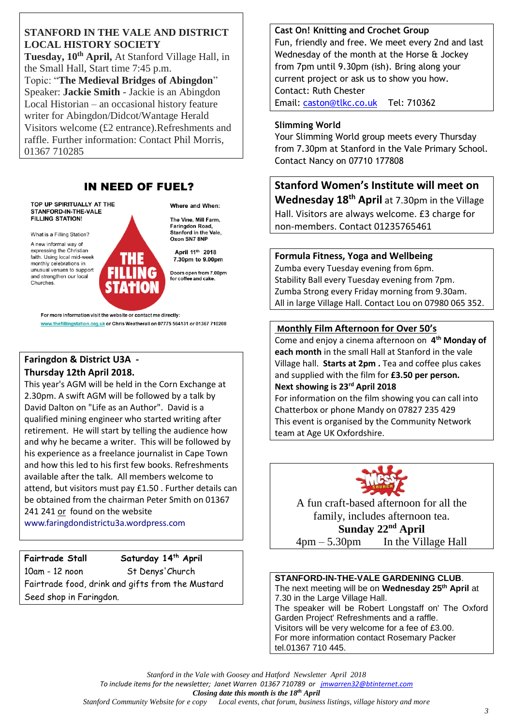#### **STANFORD IN THE VALE AND DISTRICT LOCAL HISTORY SOCIETY**

**Tuesday, 10th April,** At Stanford Village Hall, in the Small Hall, Start time 7:45 p.m. Topic: "**The Medieval Bridges of Abingdon**" Speaker: **Jackie Smith** - Jackie is an Abingdon Local Historian – an occasional history feature writer for Abingdon/Didcot/Wantage Herald Visitors welcome (£2 entrance).Refreshments and raffle. Further information: Contact Phil Morris, 01367 710285

# **IN NEED OF FUEL?**

TOP UP SPIRITUALLY AT THE STANFORD-IN-THE-VALE **FILLING STATION!** 

What is a Filling Station?

A new informal way of expressing the Christian faith. Using local mid-week monthly celebrations in unusual venues to support and strengthen our local Churches

The Vine, Mill Farm, **Faringdon Road** Stanford in the Vale, Oxon SN7 8NP

Where and When:

April 11th 2018 7.30pm to 9.00pm

Doors open from 7.00pm<br>for coffee and cake.

For more information visit the website or contact me directly: www.thefillingstation.org.uk or Chris Weatherall on 07775 564131 or 01367 710208

# **Faringdon & District U3A - Thursday 12th April 2018.**

This year's AGM will be held in the Corn Exchange at 2.30pm. A swift AGM will be followed by a talk by David Dalton on "Life as an Author". David is a qualified mining engineer who started writing after retirement. He will start by telling the audience how and why he became a writer. This will be followed by his experience as a freelance journalist in Cape Town and how this led to his first few books. Refreshments available after the talk. All members welcome to attend, but visitors must pay £1.50 . Further details can be obtained from the chairman Peter Smith on 01367 241 241 or found on the website

[www.faringdondistrictu3a.wordpress.com](http://www.faringdondistrictu3a.wordpress.com/)

# **Fairtrade Stall Saturday 14 th April**

10am - 12 noon St Denys'Church Fairtrade food, drink and gifts from the Mustard Seed shop in Faringdon.

**Cast On! Knitting and Crochet Group** Fun, friendly and free. We meet every 2nd and last Wednesday of the month at the Horse & Jockey from 7pm until 9.30pm (ish). Bring along your current project or ask us to show you how. Contact: Ruth Chester Email: [caston@tlkc.co.uk](mailto:caston@tlkc.co.uk) Tel: 710362

#### **Slimming World**

Your Slimming World group meets every Thursday from 7.30pm at Stanford in the Vale Primary School. Contact Nancy on 07710 177808

**Stanford Women's Institute will meet on Wednesday 18th April** at 7.30pm in the Village Hall. Visitors are always welcome. £3 charge for non-members. Contact 01235765461

# **Formula Fitness, Yoga and Wellbeing**

Zumba every Tuesday evening from 6pm. Stability Ball every Tuesday evening from 7pm. Zumba Strong every Friday morning from 9.30am. All in large Village Hall. Contact Lou on 07980 065 352.

# **Monthly Film Afternoon for Over 50's**

Come and enjoy a cinema afternoon on **4 th Monday of each month** in the small Hall at Stanford in the vale Village hall. **Starts at 2pm .** Tea and coffee plus cakes and supplied with the film for **£3.50 per person. Next showing is 23 rd April 2018** For information on the film showing you can call into Chatterbox or phone Mandy on 07827 235 429 This event is organised by the Community Network team at Age UK Oxfordshire.



A fun craft-based afternoon for all the family, includes afternoon tea. Sunday 22<sup>nd</sup> April

4pm – 5.30pmIn the Village Hall

#### **STANFORD-IN-THE-VALE GARDENING CLUB**.

The next meeting will be on **Wednesday 25 th April** at 7.30 in the Large Village Hall. The speaker will be Robert Longstaff on' The Oxford Garden Project' Refreshments and a raffle. Visitors will be very welcome for a fee of £3.00. For more information contact Rosemary Packer tel.01367 710 445.

*Stanford in the Vale with Goosey and Hatford Newsletter April 2018*

*To include items for the newsletter; Janet Warren 01367 710789 or [jmwarren32@btinternet.com](mailto:jmwarren32@btinternet.com)*

*Closing date this month is the 18th April* Local events, chat forum, business listings, village history and more